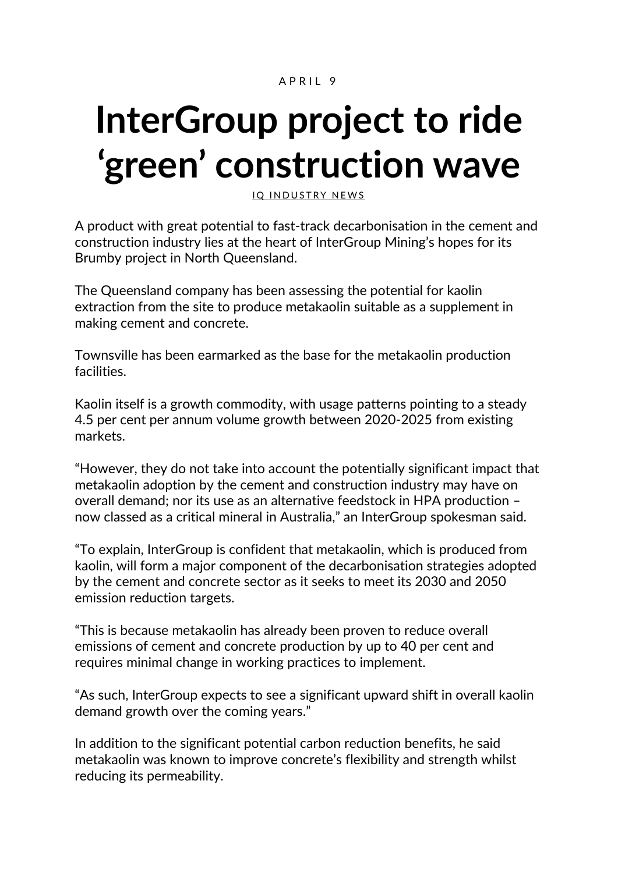## APRIL 9

## **InterGroup project to ride 'green' construction wave**

## IQ INDUSTRY NEWS

A product with great potential to fast-track decarbonisation in the cement and construction industry lies at the heart of InterGroup Mining's hopes for its Brumby project in North Queensland.

The Queensland company has been assessing the potential for kaolin extraction from the site to produce metakaolin suitable as a supplement in making cement and concrete.

Townsville has been earmarked as the base for the metakaolin production facilities.

Kaolin itself is a growth commodity, with usage patterns pointing to a steady 4.5 per cent per annum volume growth between 2020-2025 from existing markets.

"However, they do not take into account the potentially significant impact that metakaolin adoption by the cement and construction industry may have on overall demand; nor its use as an alternative feedstock in HPA production – now classed as a critical mineral in Australia," an InterGroup spokesman said.

"To explain, InterGroup is confident that metakaolin, which is produced from kaolin, will form a major component of the decarbonisation strategies adopted by the cement and concrete sector as it seeks to meet its 2030 and 2050 emission reduction targets.

"This is because metakaolin has already been proven to reduce overall emissions of cement and concrete production by up to 40 per cent and requires minimal change in working practices to implement.

"As such, InterGroup expects to see a significant upward shift in overall kaolin demand growth over the coming years."

In addition to the significant potential carbon reduction benefits, he said metakaolin was known to improve concrete's flexibility and strength whilst reducing its permeability.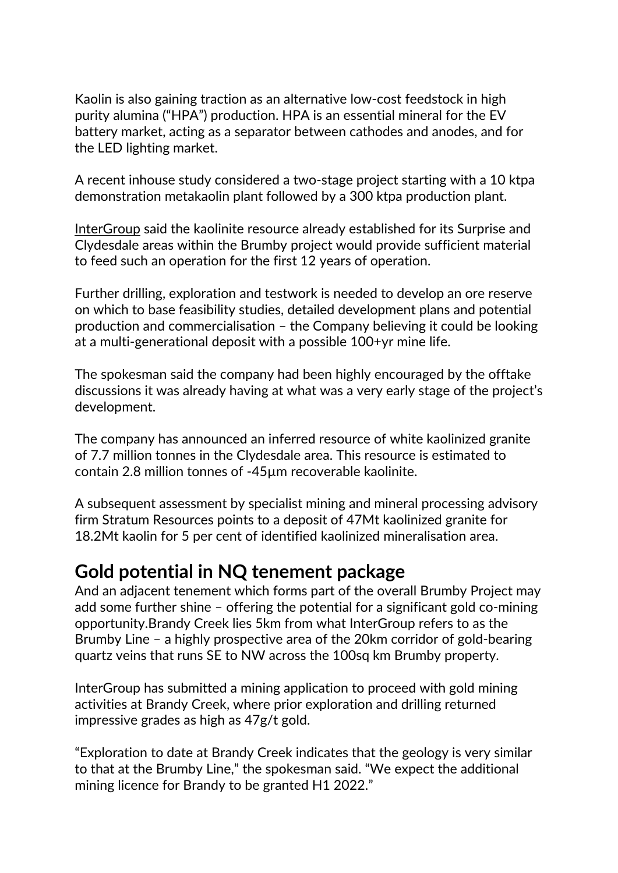Kaolin is also gaining traction as an alternative low-cost feedstock in high purity alumina ("HPA") production. HPA is an essential mineral for the EV battery market, acting as a separator between cathodes and anodes, and for the LED lighting market.

A recent inhouse study considered a two-stage project starting with a 10 ktpa demonstration metakaolin plant followed by a 300 ktpa production plant.

[InterGroup](https://igmining.com/) said the kaolinite resource already established for its Surprise and Clydesdale areas within the Brumby project would provide sufficient material to feed such an operation for the first 12 years of operation.

Further drilling, exploration and testwork is needed to develop an ore reserve on which to base feasibility studies, detailed development plans and potential production and commercialisation – the Company believing it could be looking at a multi-generational deposit with a possible 100+yr mine life.

The spokesman said the company had been highly encouraged by the offtake discussions it was already having at what was a very early stage of the project's development.

The company has announced an inferred resource of white kaolinized granite of 7.7 million tonnes in the Clydesdale area. This resource is estimated to contain 2.8 million tonnes of -45µm recoverable kaolinite.

A subsequent assessment by specialist mining and mineral processing advisory firm Stratum Resources points to a deposit of 47Mt kaolinized granite for 18.2Mt kaolin for 5 per cent of identified kaolinized mineralisation area.

## **Gold potential in NQ tenement package**

And an adjacent tenement which forms part of the overall Brumby Project may add some further shine – offering the potential for a significant gold co-mining opportunity.Brandy Creek lies 5km from what InterGroup refers to as the Brumby Line – a highly prospective area of the 20km corridor of gold-bearing quartz veins that runs SE to NW across the 100sq km Brumby property.

InterGroup has submitted a mining application to proceed with gold mining activities at Brandy Creek, where prior exploration and drilling returned impressive grades as high as 47g/t gold.

"Exploration to date at Brandy Creek indicates that the geology is very similar to that at the Brumby Line," the spokesman said. "We expect the additional mining licence for Brandy to be granted H1 2022."